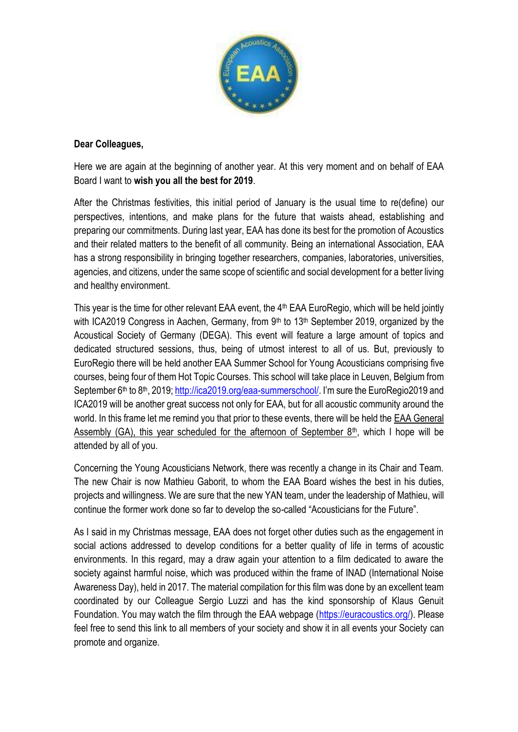

## **Dear Colleagues,**

Here we are again at the beginning of another year. At this very moment and on behalf of EAA Board I want to **wish you all the best for 2019**.

After the Christmas festivities, this initial period of January is the usual time to re(define) our perspectives, intentions, and make plans for the future that waists ahead, establishing and preparing our commitments. During last year, EAA has done its best for the promotion of Acoustics and their related matters to the benefit of all community. Being an international Association, EAA has a strong responsibility in bringing together researchers, companies, laboratories, universities, agencies, and citizens, under the same scope of scientific and social development for a better living and healthy environment.

This year is the time for other relevant EAA event, the 4<sup>th</sup> EAA EuroRegio, which will be held jointly with ICA2019 Congress in Aachen, Germany, from 9<sup>th</sup> to 13<sup>th</sup> September 2019, organized by the Acoustical Society of Germany (DEGA). This event will feature a large amount of topics and dedicated structured sessions, thus, being of utmost interest to all of us. But, previously to EuroRegio there will be held another EAA Summer School for Young Acousticians comprising five courses, being four of them Hot Topic Courses. This school will take place in Leuven, Belgium from September 6<sup>th</sup> to 8<sup>th</sup>, 2019[; http://ica2019.org/eaa-summerschool/.](http://ica2019.org/eaa-summerschool/) I'm sure the EuroRegio2019 and ICA2019 will be another great success not only for EAA, but for all acoustic community around the world. In this frame let me remind you that prior to these events, there will be held the EAA General Assembly (GA), this year scheduled for the afternoon of September  $8<sup>th</sup>$ , which I hope will be attended by all of you.

Concerning the Young Acousticians Network, there was recently a change in its Chair and Team. The new Chair is now Mathieu Gaborit, to whom the EAA Board wishes the best in his duties, projects and willingness. We are sure that the new YAN team, under the leadership of Mathieu, will continue the former work done so far to develop the so-called "Acousticians for the Future".

As I said in my Christmas message, EAA does not forget other duties such as the engagement in social actions addressed to develop conditions for a better quality of life in terms of acoustic environments. In this regard, may a draw again your attention to a film dedicated to aware the society against harmful noise, which was produced within the frame of INAD (International Noise Awareness Day), held in 2017. The material compilation for this film was done by an excellent team coordinated by our Colleague Sergio Luzzi and has the kind sponsorship of Klaus Genuit Foundation. You may watch the film through the EAA webpage [\(https://euracoustics.org/\)](https://euracoustics.org/). Please feel free to send this link to all members of your society and show it in all events your Society can promote and organize.